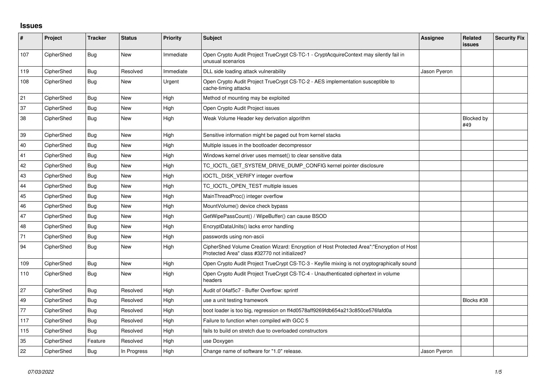## **Issues**

| $\sharp$ | Project    | <b>Tracker</b> | <b>Status</b> | Priority  | <b>Subject</b>                                                                                                                             | <b>Assignee</b> | Related<br>issues | <b>Security Fix</b> |
|----------|------------|----------------|---------------|-----------|--------------------------------------------------------------------------------------------------------------------------------------------|-----------------|-------------------|---------------------|
| 107      | CipherShed | Bug            | <b>New</b>    | Immediate | Open Crypto Audit Project TrueCrypt CS-TC-1 - CryptAcquireContext may silently fail in<br>unusual scenarios                                |                 |                   |                     |
| 119      | CipherShed | <b>Bug</b>     | Resolved      | Immediate | DLL side loading attack vulnerability                                                                                                      | Jason Pyeron    |                   |                     |
| 108      | CipherShed | Bug            | <b>New</b>    | Urgent    | Open Crypto Audit Project TrueCrypt CS-TC-2 - AES implementation susceptible to<br>cache-timing attacks                                    |                 |                   |                     |
| 21       | CipherShed | Bug            | <b>New</b>    | High      | Method of mounting may be exploited                                                                                                        |                 |                   |                     |
| 37       | CipherShed | Bug            | <b>New</b>    | High      | Open Crypto Audit Project issues                                                                                                           |                 |                   |                     |
| 38       | CipherShed | Bug            | <b>New</b>    | High      | Weak Volume Header key derivation algorithm                                                                                                |                 | Blocked by<br>#49 |                     |
| 39       | CipherShed | Bug            | <b>New</b>    | High      | Sensitive information might be paged out from kernel stacks                                                                                |                 |                   |                     |
| 40       | CipherShed | Bug            | <b>New</b>    | High      | Multiple issues in the bootloader decompressor                                                                                             |                 |                   |                     |
| 41       | CipherShed | Bug            | <b>New</b>    | High      | Windows kernel driver uses memset() to clear sensitive data                                                                                |                 |                   |                     |
| 42       | CipherShed | Bug            | <b>New</b>    | High      | TC_IOCTL_GET_SYSTEM_DRIVE_DUMP_CONFIG kernel pointer disclosure                                                                            |                 |                   |                     |
| 43       | CipherShed | Bug            | <b>New</b>    | High      | IOCTL_DISK_VERIFY integer overflow                                                                                                         |                 |                   |                     |
| 44       | CipherShed | Bug            | <b>New</b>    | High      | TC_IOCTL_OPEN_TEST multiple issues                                                                                                         |                 |                   |                     |
| 45       | CipherShed | Bug            | <b>New</b>    | High      | MainThreadProc() integer overflow                                                                                                          |                 |                   |                     |
| 46       | CipherShed | Bug            | <b>New</b>    | High      | MountVolume() device check bypass                                                                                                          |                 |                   |                     |
| 47       | CipherShed | <b>Bug</b>     | <b>New</b>    | High      | GetWipePassCount() / WipeBuffer() can cause BSOD                                                                                           |                 |                   |                     |
| 48       | CipherShed | Bug            | <b>New</b>    | High      | EncryptDataUnits() lacks error handling                                                                                                    |                 |                   |                     |
| 71       | CipherShed | <b>Bug</b>     | <b>New</b>    | High      | passwords using non-ascii                                                                                                                  |                 |                   |                     |
| 94       | CipherShed | <b>Bug</b>     | <b>New</b>    | High      | CipherShed Volume Creation Wizard: Encryption of Host Protected Area":"Encryption of Host<br>Protected Area" class #32770 not initialized? |                 |                   |                     |
| 109      | CipherShed | <b>Bug</b>     | <b>New</b>    | High      | Open Crypto Audit Project TrueCrypt CS-TC-3 - Keyfile mixing is not cryptographically sound                                                |                 |                   |                     |
| 110      | CipherShed | Bug            | <b>New</b>    | High      | Open Crypto Audit Project TrueCrypt CS-TC-4 - Unauthenticated ciphertext in volume<br>headers                                              |                 |                   |                     |
| 27       | CipherShed | Bug            | Resolved      | High      | Audit of 04af5c7 - Buffer Overflow: sprintf                                                                                                |                 |                   |                     |
| 49       | CipherShed | <b>Bug</b>     | Resolved      | High      | use a unit testing framework                                                                                                               |                 | Blocks #38        |                     |
| 77       | CipherShed | <b>Bug</b>     | Resolved      | High      | boot loader is too big, regression on ff4d0578aff9269fdb654a213c850ce576fafd0a                                                             |                 |                   |                     |
| 117      | CipherShed | <b>Bug</b>     | Resolved      | High      | Failure to function when compiled with GCC 5                                                                                               |                 |                   |                     |
| 115      | CipherShed | Bug            | Resolved      | High      | fails to build on stretch due to overloaded constructors                                                                                   |                 |                   |                     |
| 35       | CipherShed | Feature        | Resolved      | High      | use Doxygen                                                                                                                                |                 |                   |                     |
| 22       | CipherShed | <b>Bug</b>     | In Progress   | High      | Change name of software for "1.0" release.                                                                                                 | Jason Pyeron    |                   |                     |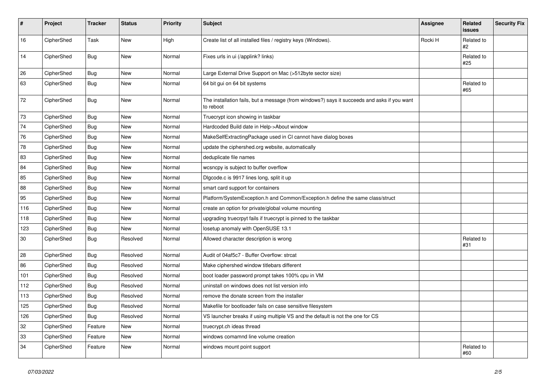| $\pmb{\#}$ | Project    | <b>Tracker</b> | <b>Status</b> | <b>Priority</b> | <b>Subject</b>                                                                                           | <b>Assignee</b> | Related<br><b>issues</b> | <b>Security Fix</b> |
|------------|------------|----------------|---------------|-----------------|----------------------------------------------------------------------------------------------------------|-----------------|--------------------------|---------------------|
| 16         | CipherShed | Task           | New           | High            | Create list of all installed files / registry keys (Windows).                                            | Rocki H         | Related to<br>#2         |                     |
| 14         | CipherShed | <b>Bug</b>     | New           | Normal          | Fixes urls in ui (/applink? links)                                                                       |                 | Related to<br>#25        |                     |
| 26         | CipherShed | <b>Bug</b>     | New           | Normal          | Large External Drive Support on Mac (>512byte sector size)                                               |                 |                          |                     |
| 63         | CipherShed | <b>Bug</b>     | New           | Normal          | 64 bit gui on 64 bit systems                                                                             |                 | Related to<br>#65        |                     |
| 72         | CipherShed | <b>Bug</b>     | New           | Normal          | The installation fails, but a message (from windows?) says it succeeds and asks if you want<br>to reboot |                 |                          |                     |
| 73         | CipherShed | <b>Bug</b>     | New           | Normal          | Truecrypt icon showing in taskbar                                                                        |                 |                          |                     |
| $74\,$     | CipherShed | Bug            | <b>New</b>    | Normal          | Hardcoded Build date in Help->About window                                                               |                 |                          |                     |
| 76         | CipherShed | <b>Bug</b>     | New           | Normal          | MakeSelfExtractingPackage used in CI cannot have dialog boxes                                            |                 |                          |                     |
| 78         | CipherShed | <b>Bug</b>     | New           | Normal          | update the ciphershed org website, automatically                                                         |                 |                          |                     |
| 83         | CipherShed | Bug            | <b>New</b>    | Normal          | deduplicate file names                                                                                   |                 |                          |                     |
| 84         | CipherShed | <b>Bug</b>     | New           | Normal          | wcsncpy is subject to buffer overflow                                                                    |                 |                          |                     |
| 85         | CipherShed | <b>Bug</b>     | New           | Normal          | Digcode.c is 9917 lines long, split it up                                                                |                 |                          |                     |
| 88         | CipherShed | <b>Bug</b>     | <b>New</b>    | Normal          | smart card support for containers                                                                        |                 |                          |                     |
| 95         | CipherShed | <b>Bug</b>     | New           | Normal          | Platform/SystemException.h and Common/Exception.h define the same class/struct                           |                 |                          |                     |
| 116        | CipherShed | Bug            | New           | Normal          | create an option for private/global volume mounting                                                      |                 |                          |                     |
| 118        | CipherShed | <b>Bug</b>     | New           | Normal          | upgrading truecrpyt fails if truecrypt is pinned to the taskbar                                          |                 |                          |                     |
| 123        | CipherShed | Bug            | New           | Normal          | losetup anomaly with OpenSUSE 13.1                                                                       |                 |                          |                     |
| $30\,$     | CipherShed | <b>Bug</b>     | Resolved      | Normal          | Allowed character description is wrong                                                                   |                 | Related to<br>#31        |                     |
| 28         | CipherShed | <b>Bug</b>     | Resolved      | Normal          | Audit of 04af5c7 - Buffer Overflow: strcat                                                               |                 |                          |                     |
| 86         | CipherShed | <b>Bug</b>     | Resolved      | Normal          | Make ciphershed window titlebars different                                                               |                 |                          |                     |
| 101        | CipherShed | <b>Bug</b>     | Resolved      | Normal          | boot loader password prompt takes 100% cpu in VM                                                         |                 |                          |                     |
| 112        | CipherShed | Bug            | Resolved      | Normal          | uninstall on windows does not list version info                                                          |                 |                          |                     |
| 113        | CipherShed | Bug            | Resolved      | Normal          | remove the donate screen from the installer                                                              |                 |                          |                     |
| 125        | CipherShed | <b>Bug</b>     | Resolved      | Normal          | Makefile for bootloader fails on case sensitive filesystem                                               |                 |                          |                     |
| 126        | CipherShed | Bug            | Resolved      | Normal          | VS launcher breaks if using multiple VS and the default is not the one for CS                            |                 |                          |                     |
| 32         | CipherShed | Feature        | New           | Normal          | truecrypt.ch ideas thread                                                                                |                 |                          |                     |
| 33         | CipherShed | Feature        | New           | Normal          | windows comamnd line volume creation                                                                     |                 |                          |                     |
| 34         | CipherShed | Feature        | New           | Normal          | windows mount point support                                                                              |                 | Related to<br>#60        |                     |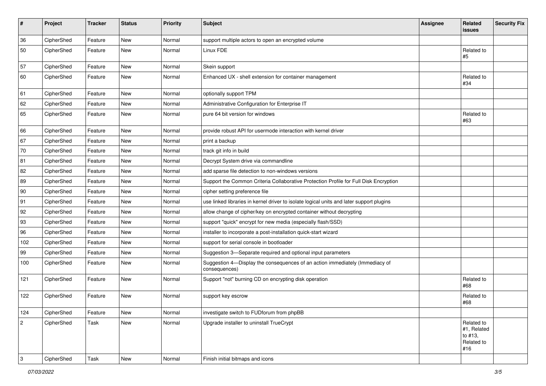| $\sharp$   | Project    | <b>Tracker</b> | <b>Status</b> | <b>Priority</b> | Subject                                                                                       | <b>Assignee</b> | Related<br><b>issues</b>                                  | <b>Security Fix</b> |
|------------|------------|----------------|---------------|-----------------|-----------------------------------------------------------------------------------------------|-----------------|-----------------------------------------------------------|---------------------|
| 36         | CipherShed | Feature        | <b>New</b>    | Normal          | support multiple actors to open an encrypted volume                                           |                 |                                                           |                     |
| 50         | CipherShed | Feature        | New           | Normal          | Linux FDE                                                                                     |                 | Related to<br>#5                                          |                     |
| 57         | CipherShed | Feature        | <b>New</b>    | Normal          | Skein support                                                                                 |                 |                                                           |                     |
| 60         | CipherShed | Feature        | New           | Normal          | Enhanced UX - shell extension for container management                                        |                 | Related to<br>#34                                         |                     |
| 61         | CipherShed | Feature        | <b>New</b>    | Normal          | optionally support TPM                                                                        |                 |                                                           |                     |
| 62         | CipherShed | Feature        | New           | Normal          | Administrative Configuration for Enterprise IT                                                |                 |                                                           |                     |
| 65         | CipherShed | Feature        | New           | Normal          | pure 64 bit version for windows                                                               |                 | Related to<br>#63                                         |                     |
| 66         | CipherShed | Feature        | <b>New</b>    | Normal          | provide robust API for usermode interaction with kernel driver                                |                 |                                                           |                     |
| 67         | CipherShed | Feature        | <b>New</b>    | Normal          | print a backup                                                                                |                 |                                                           |                     |
| 70         | CipherShed | Feature        | <b>New</b>    | Normal          | track git info in build                                                                       |                 |                                                           |                     |
| 81         | CipherShed | Feature        | New           | Normal          | Decrypt System drive via commandline                                                          |                 |                                                           |                     |
| 82         | CipherShed | Feature        | New           | Normal          | add sparse file detection to non-windows versions                                             |                 |                                                           |                     |
| 89         | CipherShed | Feature        | New           | Normal          | Support the Common Criteria Collaborative Protection Profile for Full Disk Encryption         |                 |                                                           |                     |
| 90         | CipherShed | Feature        | New           | Normal          | cipher setting preference file                                                                |                 |                                                           |                     |
| 91         | CipherShed | Feature        | New           | Normal          | use linked libraries in kernel driver to isolate logical units and later support plugins      |                 |                                                           |                     |
| 92         | CipherShed | Feature        | New           | Normal          | allow change of cipher/key on encrypted container without decrypting                          |                 |                                                           |                     |
| 93         | CipherShed | Feature        | New           | Normal          | support "quick" encrypt for new media (especially flash/SSD)                                  |                 |                                                           |                     |
| 96         | CipherShed | Feature        | New           | Normal          | installer to incorporate a post-installation quick-start wizard                               |                 |                                                           |                     |
| 102        | CipherShed | Feature        | New           | Normal          | support for serial console in bootloader                                                      |                 |                                                           |                     |
| 99         | CipherShed | Feature        | New           | Normal          | Suggestion 3-Separate required and optional input parameters                                  |                 |                                                           |                     |
| 100        | CipherShed | Feature        | New           | Normal          | Suggestion 4-Display the consequences of an action immediately (Immediacy of<br>consequences) |                 |                                                           |                     |
| 121        | CipherShed | Feature        | <b>New</b>    | Normal          | Support "not" burning CD on encrypting disk operation                                         |                 | Related to<br>#68                                         |                     |
| 122        | CipherShed | Feature        | New           | Normal          | support key escrow                                                                            |                 | Related to<br>#68                                         |                     |
| 124        | CipherShed | Feature        | New           | Normal          | investigate switch to FUDforum from phpBB                                                     |                 |                                                           |                     |
| $\sqrt{2}$ | CipherShed | Task           | New           | Normal          | Upgrade installer to uninstall TrueCrypt                                                      |                 | Related to<br>#1, Related<br>to #13,<br>Related to<br>#16 |                     |
| 3          | CipherShed | Task           | New           | Normal          | Finish initial bitmaps and icons                                                              |                 |                                                           |                     |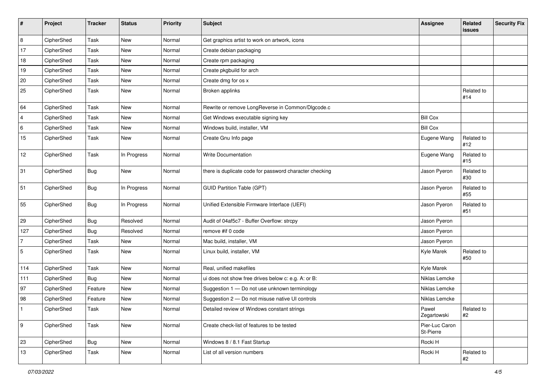| #              | Project    | <b>Tracker</b> | <b>Status</b> | <b>Priority</b> | <b>Subject</b>                                          | <b>Assignee</b>             | Related<br><b>issues</b> | <b>Security Fix</b> |
|----------------|------------|----------------|---------------|-----------------|---------------------------------------------------------|-----------------------------|--------------------------|---------------------|
| 8              | CipherShed | Task           | <b>New</b>    | Normal          | Get graphics artist to work on artwork, icons           |                             |                          |                     |
| 17             | CipherShed | Task           | New           | Normal          | Create debian packaging                                 |                             |                          |                     |
| 18             | CipherShed | Task           | New           | Normal          | Create rpm packaging                                    |                             |                          |                     |
| 19             | CipherShed | Task           | <b>New</b>    | Normal          | Create pkgbuild for arch                                |                             |                          |                     |
| 20             | CipherShed | Task           | New           | Normal          | Create dmg for os x                                     |                             |                          |                     |
| 25             | CipherShed | Task           | New           | Normal          | Broken applinks                                         |                             | Related to<br>#14        |                     |
| 64             | CipherShed | Task           | New           | Normal          | Rewrite or remove LongReverse in Common/Dlgcode.c       |                             |                          |                     |
| $\overline{4}$ | CipherShed | Task           | <b>New</b>    | Normal          | Get Windows executable signing key                      | <b>Bill Cox</b>             |                          |                     |
| 6              | CipherShed | Task           | New           | Normal          | Windows build, installer, VM                            | <b>Bill Cox</b>             |                          |                     |
| 15             | CipherShed | Task           | New           | Normal          | Create Gnu Info page                                    | Eugene Wang                 | Related to<br>#12        |                     |
| 12             | CipherShed | Task           | In Progress   | Normal          | Write Documentation                                     | Eugene Wang                 | Related to<br>#15        |                     |
| 31             | CipherShed | Bug            | New           | Normal          | there is duplicate code for password character checking | Jason Pyeron                | Related to<br>#30        |                     |
| 51             | CipherShed | Bug            | In Progress   | Normal          | <b>GUID Partition Table (GPT)</b>                       | Jason Pyeron                | Related to<br>#55        |                     |
| 55             | CipherShed | Bug            | In Progress   | Normal          | Unified Extensible Firmware Interface (UEFI)            | Jason Pyeron                | Related to<br>#51        |                     |
| 29             | CipherShed | <b>Bug</b>     | Resolved      | Normal          | Audit of 04af5c7 - Buffer Overflow: strcpy              | Jason Pyeron                |                          |                     |
| 127            | CipherShed | <b>Bug</b>     | Resolved      | Normal          | remove #if 0 code                                       | Jason Pyeron                |                          |                     |
| 7              | CipherShed | Task           | New           | Normal          | Mac build, installer, VM                                | Jason Pyeron                |                          |                     |
| 5              | CipherShed | Task           | New           | Normal          | Linux build, installer, VM                              | Kyle Marek                  | Related to<br>#50        |                     |
| 114            | CipherShed | Task           | New           | Normal          | Real, unified makefiles                                 | Kyle Marek                  |                          |                     |
| 111            | CipherShed | Bug            | New           | Normal          | ui does not show free drives below c: e.g. A: or B:     | Niklas Lemcke               |                          |                     |
| 97             | CipherShed | Feature        | New           | Normal          | Suggestion 1 - Do not use unknown terminology           | Niklas Lemcke               |                          |                     |
| 98             | CipherShed | Feature        | New           | Normal          | Suggestion 2 - Do not misuse native UI controls         | Niklas Lemcke               |                          |                     |
|                | CipherShed | Task           | New           | Normal          | Detailed review of Windows constant strings             | Paweł<br>Zegartowski        | Related to<br>#2         |                     |
| 9              | CipherShed | Task           | New           | Normal          | Create check-list of features to be tested              | Pier-Luc Caron<br>St-Pierre |                          |                     |
| 23             | CipherShed | Bug            | New           | Normal          | Windows 8 / 8.1 Fast Startup                            | Rocki H                     |                          |                     |
| 13             | CipherShed | Task           | New           | Normal          | List of all version numbers                             | Rocki H                     | Related to<br>#2         |                     |